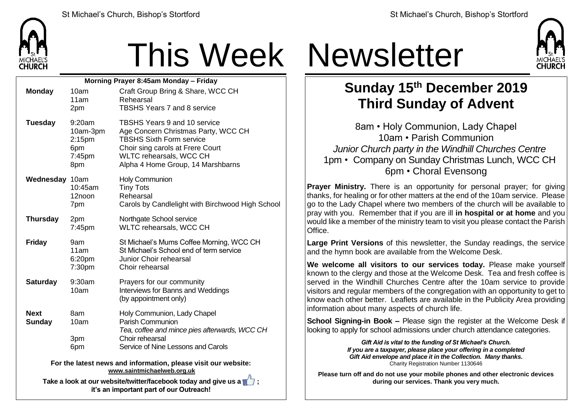

# This Week Newsletter

| Morning Prayer 8:45am Monday - Friday                                                        |                                                                  |                                                                                                                                                                                                                   |  |  |
|----------------------------------------------------------------------------------------------|------------------------------------------------------------------|-------------------------------------------------------------------------------------------------------------------------------------------------------------------------------------------------------------------|--|--|
| <b>Monday</b>                                                                                | 10am<br>11am<br>2pm                                              | Craft Group Bring & Share, WCC CH<br>Rehearsal<br><b>TBSHS Years 7 and 8 service</b>                                                                                                                              |  |  |
| <b>Tuesday</b>                                                                               | 9:20am<br>10am-3pm<br>2:15 <sub>pm</sub><br>6pm<br>7:45pm<br>8pm | <b>TBSHS Years 9 and 10 service</b><br>Age Concern Christmas Party, WCC CH<br><b>TBSHS Sixth Form service</b><br>Choir sing carols at Frere Court<br>WLTC rehearsals, WCC CH<br>Alpha 4 Home Group, 14 Marshbarns |  |  |
| Wednesday 10am                                                                               | 10:45am<br>12noon<br>7pm                                         | <b>Holy Communion</b><br><b>Tiny Tots</b><br>Rehearsal<br>Carols by Candlelight with Birchwood High School                                                                                                        |  |  |
| <b>Thursday</b>                                                                              | 2pm<br>7:45pm                                                    | Northgate School service<br><b>WLTC rehearsals, WCC CH</b>                                                                                                                                                        |  |  |
| <b>Friday</b>                                                                                | 9am<br>11am<br>6:20pm<br>7:30pm                                  | St Michael's Mums Coffee Morning, WCC CH<br>St Michael's School end of term service<br>Junior Choir rehearsal<br>Choir rehearsal                                                                                  |  |  |
| <b>Saturday</b>                                                                              | 9:30am<br>10am                                                   | Prayers for our community<br>Interviews for Banns and Weddings<br>(by appointment only)                                                                                                                           |  |  |
| <b>Next</b><br><b>Sunday</b>                                                                 | 8am<br>10am<br>3pm<br>6pm                                        | Holy Communion, Lady Chapel<br>Parish Communion<br>Tea, coffee and mince pies afterwards, WCC CH<br>Choir rehearsal<br>Service of Nine Lessons and Carols                                                         |  |  |
| For the latest news and information, please visit our website:<br>www.saintmichaelweb.org.uk |                                                                  |                                                                                                                                                                                                                   |  |  |

**Take a look at our website/twitter/facebook today and give us a**  $\blacksquare$ **. it's an important part of our Outreach!**



### **Sunday 15th December 2019 Third Sunday of Advent**

8am • Holy Communion, Lady Chapel 10am • Parish Communion *Junior Church party in the Windhill Churches Centre* 1pm • Company on Sunday Christmas Lunch, WCC CH 6pm • Choral Evensong

**Prayer Ministry.** There is an opportunity for personal prayer; for giving thanks, for healing or for other matters at the end of the 10am service. Please go to the Lady Chapel where two members of the church will be available to pray with you. Remember that if you are ill **in hospital or at home** and you would like a member of the ministry team to visit you please contact the Parish **Office** 

**Large Print Versions** of this newsletter, the Sunday readings, the service and the hymn book are available from the Welcome Desk.

**We welcome all visitors to our services today.** Please make yourself known to the clergy and those at the Welcome Desk. Tea and fresh coffee is served in the Windhill Churches Centre after the 10am service to provide visitors and regular members of the congregation with an opportunity to get to know each other better. Leaflets are available in the Publicity Area providing information about many aspects of church life.

**School Signing-in Book –** Please sign the register at the Welcome Desk if looking to apply for school admissions under church attendance categories.

> *Gift Aid is vital to the funding of St Michael's Church. If you are a taxpayer, please place your offering in a completed Gift Aid envelope and place it in the Collection. Many thanks.* Charity Registration Number 1130646

**Please turn off and do not use your mobile phones and other electronic devices during our services. Thank you very much.**